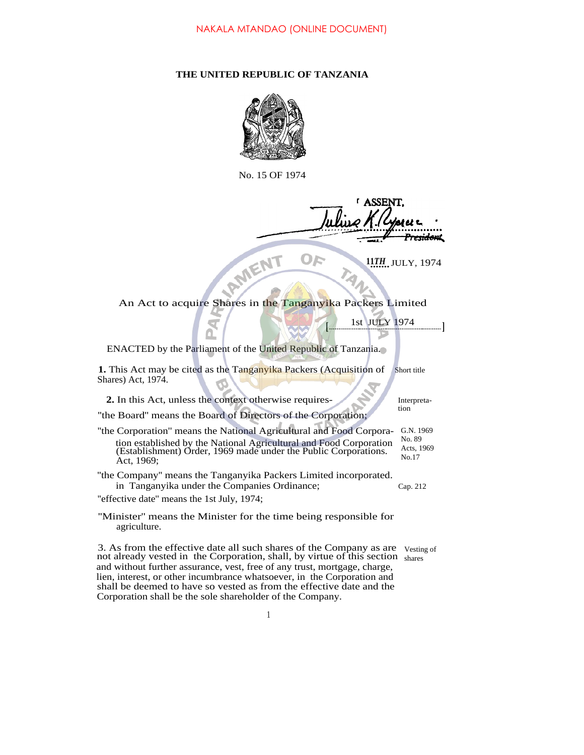## **THE UNITED REPUBLIC OF TANZANIA**



No. 15 OF 1974

<del>rsidan</del>t

 $\mathbf{D}$ 

**<sup>11</sup>***....... TH* JULY, 1974

117H. JULY, 19

1st JULY<sup>1974</sup> **[ ]**

ENACTED by the Parliament of the United Republic of Tanzania.

**1.** This Act may be cited as the Tanganyika Packers (Acquisition of Shares) Act, 1974. Short title

**2.** In this Act, unless the context otherwise requires-

Interpretation

''the Board'' means the Board of Directors of the Corporation;

''the Corporation'' means the National Agricultural and Food Corporation established by the National Agricultural and Food Corporation (Establishment) Order, 1969 made under the Public Corporations. Act, 1969; G.N. 1969 No. 89 Acts, 1969 No.17

''the Company'' means the Tanganyika Packers Limited incorporated. in Tanganyika under the Companies Ordinance; Cap. 212

''effective date'' means the 1st July, 1974;

''Minister'' means the Minister for the time being responsible for agriculture.

3. As from the effective date all such shares of the Company as are not already vested in the Corporation, shall, by virtue of this section shares and without further assurance, vest, free of any trust, mortgage, charge, lien, interest, or other incumbrance whatsoever, in the Corporation and shall be deemed to have so vested as from the effective date and the Corporation shall be the sole shareholder of the Company. Vesting of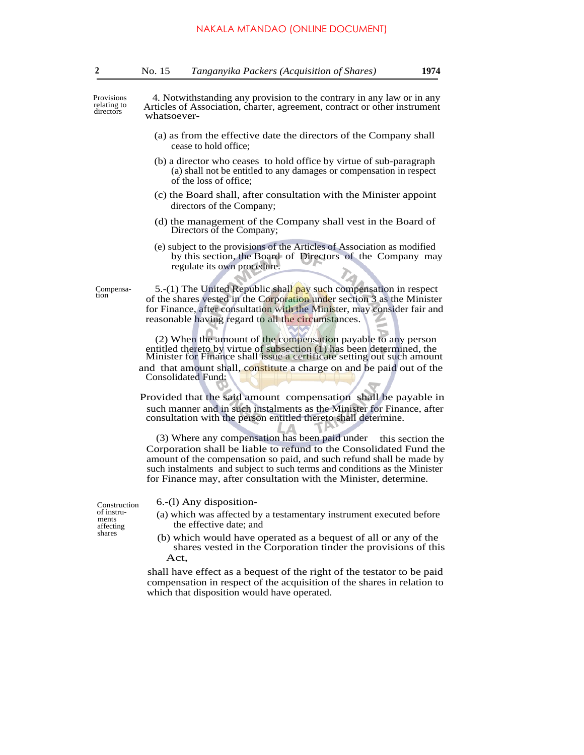Provisions relating to directors

4*.* Notwithstanding any provision to the contrary in any law or in any Articles of Association, charter, agreement, contract or other instrument whatsoever-

- (a) as from the effective date the directors of the Company shall cease to hold office;
- (b) a director who ceases to hold office by virtue of sub-paragraph (a) shall not be entitled to any damages or compensation in respect of the loss of office;
- (c) the Board shall, after consultation with the Minister appoint directors of the Company;
- (d) the management of the Company shall vest in the Board of Directors of the Company;
- (e) subject to the provisions of the Articles of Association as modified by this section, the Board of Directors of the Company may regulate its own procedure.

Compensation

5.-(1) The United Republic shall pay such compensation in respect of the shares vested in the Corporation under section 3 as the Minister for Finance, after consultation with the Minister, may consider fair and reasonable having regard to all the circumstances.

(2) When the amount of the compensation payable to any person entitled thereto by virtue of subsection (1) has been determined, the Minister for Finance shall issue a certificate setting out such amount

and that amount shall, constitute a charge on and be paid out of the Consolidated Fund:

 Provided that the said amount compensation shall be payable in such manner and in such instalments as the Minister for Finance, after consultation with the person entitled thereto shall determine.

∠

(3) Where any compensation has been paid under this section the Corporation shall be liable to refund to the Consolidated Fund the amount of the compensation so paid, and such refund shall be made by such instalments and subject to such terms and conditions as the Minister for Finance may, after consultation with the Minister, determine.

W.

 $\frac{6-(1)}{9}$  Any disposition-<br>of instru-

- of instru-<br>
instruction (a) which was affected by a testamentary instrument executed before<br>
affecting the effective date; and affecting the effective date; and shares
	- (b) which would have operated as a bequest of all or any of the shares vested in the Corporation tinder the provisions of this Act,

shall have effect as a bequest of the right of the testator to be paid compensation in respect of the acquisition of the shares in relation to which that disposition would have operated.